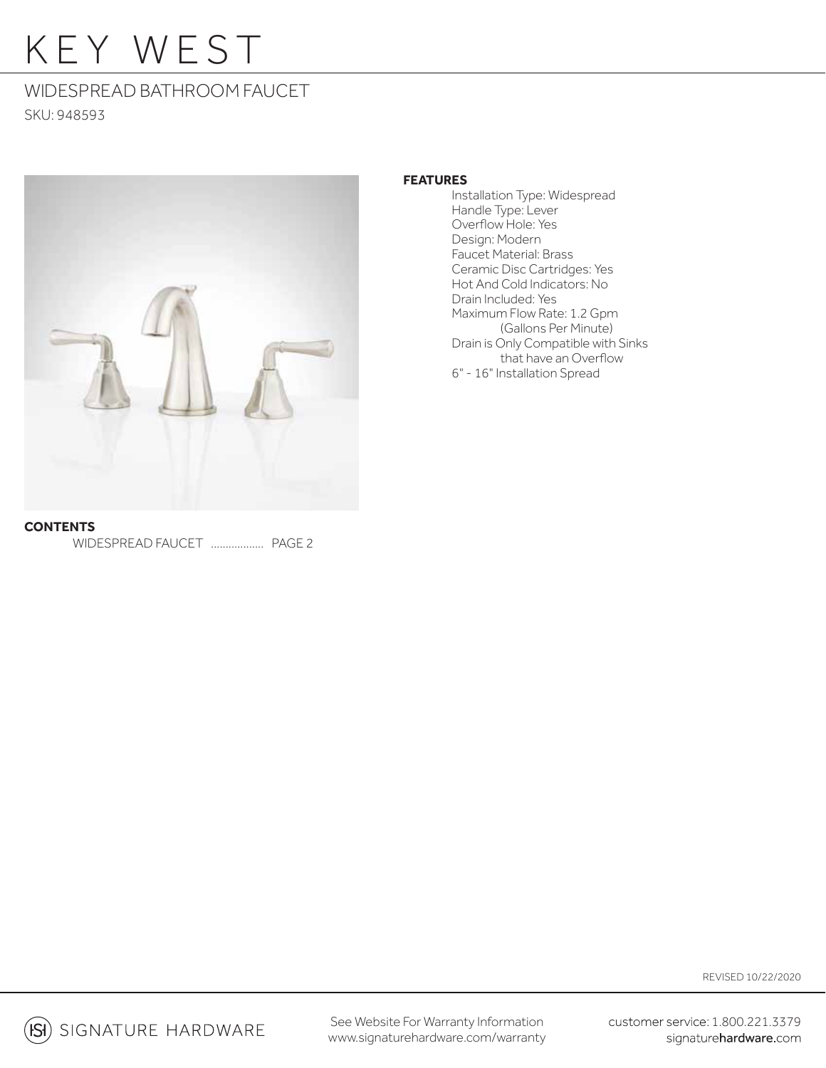# KEY WEST

## WIDESPREAD BATHROOM FAUCET SKU: 948593



## **FEATURES**

 Installation Type: Widespread Handle Type: Lever Overflow Hole: Yes Design: Modern Faucet Material: Brass Ceramic Disc Cartridges: Yes Hot And Cold Indicators: No Drain Included: Yes Maximum Flow Rate: 1.2 Gpm (Gallons Per Minute) Drain is Only Compatible with Sinks that have an Overflow 6" - 16" Installation Spread

**CONTENTS** WIDESPREAD FAUCET .................. PAGE 2

REVISED 10/22/2020

**ISI**) SIGNATURE HARDWARE